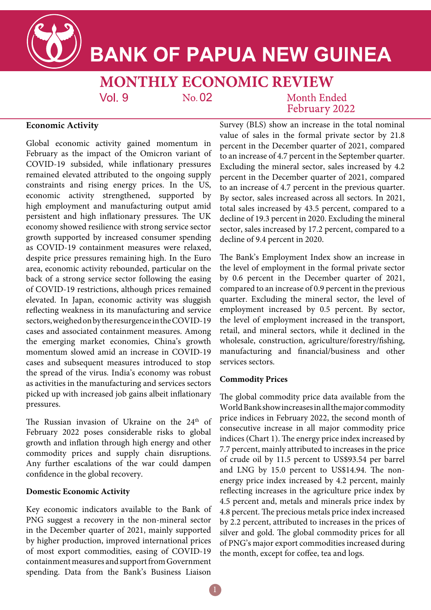

# **BANK OF PAPUA NEW GUINEA**

**MONTHLY ECONOMIC REVIEW**  $Vol<sub>9</sub>$  $No. 02$ Month Ended

February 2022

# **Economic Activity**

Global economic activity gained momentum in February as the impact of the Omicron variant of COVID-19 subsided, while inflationary pressures remained elevated attributed to the ongoing supply constraints and rising energy prices. In the US, economic activity strengthened, supported by high employment and manufacturing output amid persistent and high inflationary pressures. The UK economy showed resilience with strong service sector growth supported by increased consumer spending as COVID-19 containment measures were relaxed, despite price pressures remaining high. In the Euro area, economic activity rebounded, particular on the back of a strong service sector following the easing of COVID-19 restrictions, although prices remained elevated. In Japan, economic activity was sluggish reflecting weakness in its manufacturing and service sectors, weighed on by the resurgence in the COVID-19 cases and associated containment measures. Among the emerging market economies, China's growth momentum slowed amid an increase in COVID-19 cases and subsequent measures introduced to stop the spread of the virus. India's economy was robust as activities in the manufacturing and services sectors picked up with increased job gains albeit inflationary pressures.

The Russian invasion of Ukraine on the 24<sup>th</sup> of February 2022 poses considerable risks to global growth and inflation through high energy and other commodity prices and supply chain disruptions. Any further escalations of the war could dampen confidence in the global recovery.

### **Domestic Economic Activity**

Key economic indicators available to the Bank of PNG suggest a recovery in the non-mineral sector in the December quarter of 2021, mainly supported by higher production, improved international prices of most export commodities, easing of COVID-19 containment measures and support from Government spending. Data from the Bank's Business Liaison

Survey (BLS) show an increase in the total nominal value of sales in the formal private sector by 21.8 percent in the December quarter of 2021, compared to an increase of 4.7 percent in the September quarter. Excluding the mineral sector, sales increased by 4.2 percent in the December quarter of 2021, compared to an increase of 4.7 percent in the previous quarter. By sector, sales increased across all sectors. In 2021, total sales increased by 43.5 percent, compared to a decline of 19.3 percent in 2020. Excluding the mineral sector, sales increased by 17.2 percent, compared to a decline of 9.4 percent in 2020.

The Bank's Employment Index show an increase in the level of employment in the formal private sector by 0.6 percent in the December quarter of 2021, compared to an increase of 0.9 percent in the previous quarter. Excluding the mineral sector, the level of employment increased by 0.5 percent. By sector, the level of employment increased in the transport, retail, and mineral sectors, while it declined in the wholesale, construction, agriculture/forestry/fishing, manufacturing and financial/business and other services sectors.

# **Commodity Prices**

The global commodity price data available from the World Bank show increases in all the major commodity price indices in February 2022, the second month of consecutive increase in all major commodity price indices (Chart 1). The energy price index increased by 7.7 percent, mainly attributed to increases in the price of crude oil by 11.5 percent to US\$93.54 per barrel and LNG by 15.0 percent to US\$14.94. The nonenergy price index increased by 4.2 percent, mainly reflecting increases in the agriculture price index by 4.5 percent and, metals and minerals price index by 4.8 percent. The precious metals price index increased by 2.2 percent, attributed to increases in the prices of silver and gold. The global commodity prices for all of PNG's major export commodities increased during the month, except for coffee, tea and logs.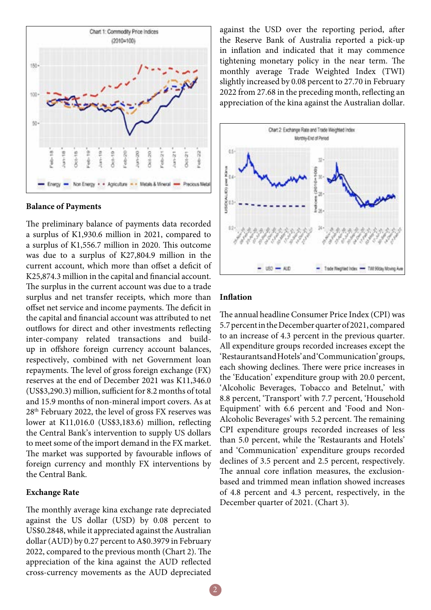

#### **Balance of Payments**

The preliminary balance of payments data recorded a surplus of K1,930.6 million in 2021, compared to a surplus of K1,556.7 million in 2020. This outcome was due to a surplus of K27,804.9 million in the current account, which more than offset a deficit of K25,874.3 million in the capital and financial account. The surplus in the current account was due to a trade surplus and net transfer receipts, which more than offset net service and income payments. The deficit in the capital and financial account was attributed to net outflows for direct and other investments reflecting inter-company related transactions and buildup in offshore foreign currency account balances, respectively, combined with net Government loan repayments. The level of gross foreign exchange (FX) reserves at the end of December 2021 was K11,346.0 (US\$3,290.3) million, sufficient for 8.2 months of total and 15.9 months of non-mineral import covers. As at 28th February 2022, the level of gross FX reserves was lower at K11,016.0 (US\$3,183.6) million, reflecting the Central Bank's intervention to supply US dollars to meet some of the import demand in the FX market. The market was supported by favourable inflows of foreign currency and monthly FX interventions by the Central Bank.

#### **Exchange Rate**

The monthly average kina exchange rate depreciated against the US dollar (USD) by 0.08 percent to US\$0.2848, while it appreciated against the Australian dollar (AUD) by 0.27 percent to A\$0.3979 in February 2022, compared to the previous month (Chart 2). The appreciation of the kina against the AUD reflected cross-currency movements as the AUD depreciated against the USD over the reporting period, after the Reserve Bank of Australia reported a pick-up in inflation and indicated that it may commence tightening monetary policy in the near term. The monthly average Trade Weighted Index (TWI) slightly increased by 0.08 percent to 27.70 in February 2022 from 27.68 in the preceding month, reflecting an appreciation of the kina against the Australian dollar.



### **Inflation**

The annual headline Consumer Price Index (CPI) was 5.7 percent in the December quarter of 2021, compared to an increase of 4.3 percent in the previous quarter. All expenditure groups recorded increases except the 'Restaurants and Hotels' and 'Communication' groups, each showing declines. There were price increases in the 'Education' expenditure group with 20.0 percent, 'Alcoholic Beverages, Tobacco and Betelnut,' with 8.8 percent, 'Transport' with 7.7 percent, 'Household Equipment' with 6.6 percent and 'Food and Non-Alcoholic Beverages' with 5.2 percent. The remaining CPI expenditure groups recorded increases of less than 5.0 percent, while the 'Restaurants and Hotels' and 'Communication' expenditure groups recorded declines of 3.5 percent and 2.5 percent, respectively. The annual core inflation measures, the exclusionbased and trimmed mean inflation showed increases of 4.8 percent and 4.3 percent, respectively, in the December quarter of 2021. (Chart 3).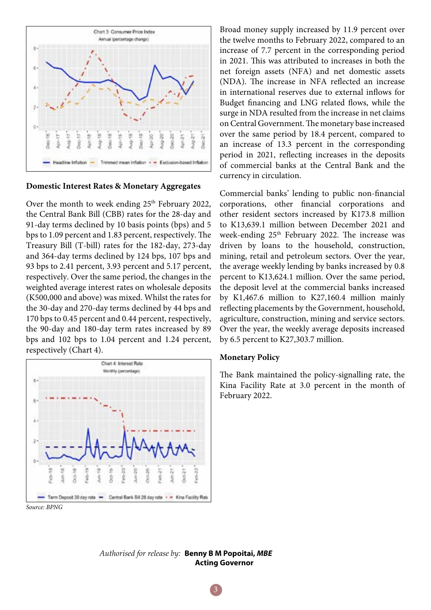

# **Domestic Interest Rates & Monetary Aggregates**

Over the month to week ending  $25<sup>th</sup>$  February 2022, the Central Bank Bill (CBB) rates for the 28-day and 91-day terms declined by 10 basis points (bps) and 5 bps to 1.09 percent and 1.83 percent, respectively. The Treasury Bill (T-bill) rates for the 182-day, 273-day and 364-day terms declined by 124 bps, 107 bps and 93 bps to 2.41 percent, 3.93 percent and 5.17 percent, respectively. Over the same period, the changes in the weighted average interest rates on wholesale deposits (K500,000 and above) was mixed. Whilst the rates for the 30-day and 270-day terms declined by 44 bps and 170 bps to 0.45 percent and 0.44 percent, respectively, the 90-day and 180-day term rates increased by 89 bps and 102 bps to 1.04 percent and 1.24 percent, respectively (Chart 4).



Broad money supply increased by 11.9 percent over the twelve months to February 2022, compared to an increase of 7.7 percent in the corresponding period in 2021. This was attributed to increases in both the net foreign assets (NFA) and net domestic assets (NDA). The increase in NFA reflected an increase in international reserves due to external inflows for Budget financing and LNG related flows, while the surge in NDA resulted from the increase in net claims on Central Government. The monetary base increased over the same period by 18.4 percent, compared to an increase of 13.3 percent in the corresponding period in 2021, reflecting increases in the deposits of commercial banks at the Central Bank and the currency in circulation.

Commercial banks' lending to public non-financial corporations, other financial corporations and other resident sectors increased by K173.8 million to K13,639.1 million between December 2021 and week-ending 25<sup>th</sup> February 2022. The increase was driven by loans to the household, construction, mining, retail and petroleum sectors. Over the year, the average weekly lending by banks increased by 0.8 percent to K13,624.1 million. Over the same period, the deposit level at the commercial banks increased by K1,467.6 million to K27,160.4 million mainly reflecting placements by the Government, household, agriculture, construction, mining and service sectors. Over the year, the weekly average deposits increased by 6.5 percent to K27,303.7 million.

#### **Monetary Policy**

The Bank maintained the policy-signalling rate, the Kina Facility Rate at 3.0 percent in the month of February 2022.

*Authorised for release by:* **Benny B M Popoitai,** *MBE*  **Acting Governor**